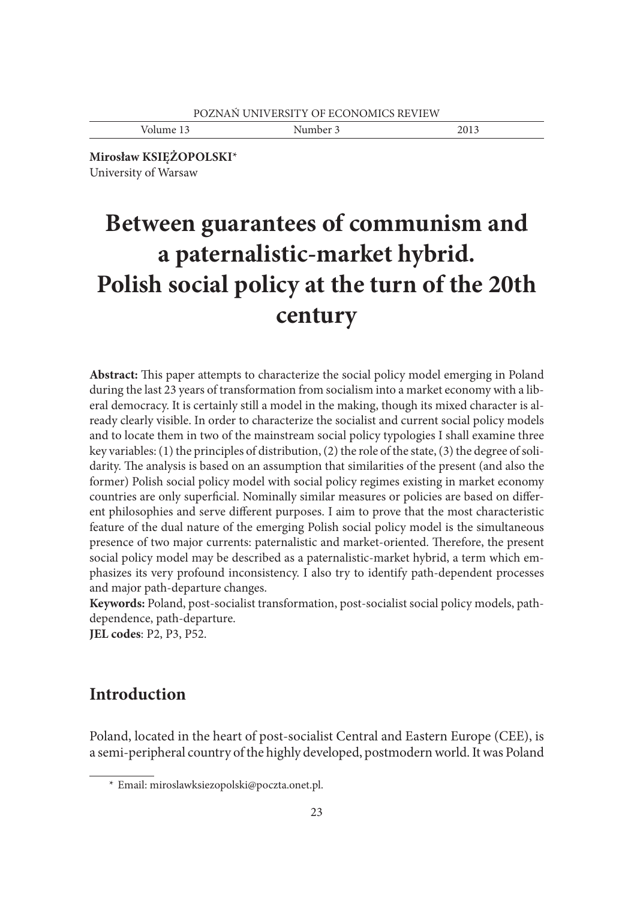Volume 13 Number 3 2013

**Mirosław KSIĘŻOPOLSKI**\* University of Warsaw

# **Between guarantees of communism and a paternalistic-market hybrid. Polish social policy at the turn of the 20th century**

**Abstract:** This paper attempts to characterize the social policy model emerging in Poland during the last 23 years of transformation from socialism into a market economy with a liberal democracy. It is certainly still a model in the making, though its mixed character is already clearly visible. In order to characterize the socialist and current social policy models and to locate them in two of the mainstream social policy typologies I shall examine three key variables: (1) the principles of distribution, (2) the role of the state, (3) the degree of solidarity. The analysis is based on an assumption that similarities of the present (and also the former) Polish social policy model with social policy regimes existing in market economy countries are only superficial. Nominally similar measures or policies are based on different philosophies and serve different purposes. I aim to prove that the most characteristic feature of the dual nature of the emerging Polish social policy model is the simultaneous presence of two major currents: paternalistic and market-oriented. Therefore, the present social policy model may be described as a paternalistic-market hybrid, a term which emphasizes its very profound inconsistency. I also try to identify path-dependent processes and major path-departure changes.

**Keywords:** Poland, post-socialist transformation, post-socialist social policy models, pathdependence, path-departure.

**JEL codes**: P2, P3, P52.

# **Introduction**

Poland, located in the heart of post-socialist Central and Eastern Europe (CEE), is a semi-peripheral country of the highly developed, postmodern world. It was Poland

 <sup>\*</sup> Email: miroslawksiezopolski@poczta.onet.pl.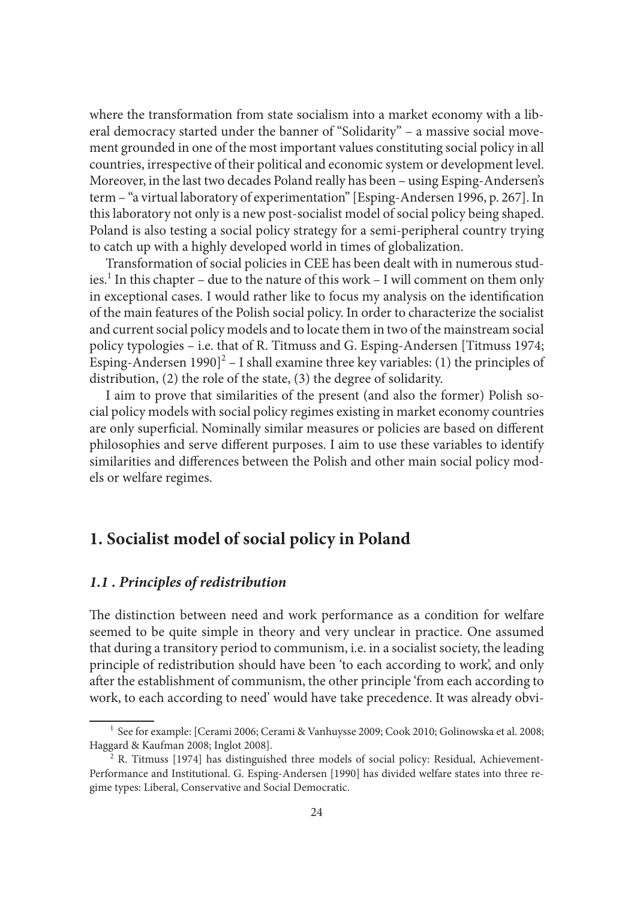where the transformation from state socialism into a market economy with a liberal democracy started under the banner of "Solidarity" – a massive social movement grounded in one of the most important values constituting social policy in all countries, irrespective of their political and economic system or development level. Moreover, in the last two decades Poland really has been – using Esping-Andersen's term – "a virtual laboratory of experimentation" [Esping-Andersen 1996, p. 267]. In this laboratory not only is a new post-socialist model of social policy being shaped. Poland is also testing a social policy strategy for a semi-peripheral country trying to catch up with a highly developed world in times of globalization.

Transformation of social policies in CEE has been dealt with in numerous studies.<sup>1</sup> In this chapter – due to the nature of this work – I will comment on them only in exceptional cases. I would rather like to focus my analysis on the identification of the main features of the Polish social policy. In order to characterize the socialist and current social policy models and to locate them in two of the mainstream social policy typologies – i.e. that of R. Titmuss and G. Esping-Andersen [Titmuss 1974; Esping-Andersen 1990]<sup>2</sup> – I shall examine three key variables: (1) the principles of distribution, (2) the role of the state, (3) the degree of solidarity.

I aim to prove that similarities of the present (and also the former) Polish social policy models with social policy regimes existing in market economy countries are only superficial. Nominally similar measures or policies are based on different philosophies and serve different purposes. I aim to use these variables to identify similarities and differences between the Polish and other main social policy models or welfare regimes.

## **1. Socialist model of social policy in Poland**

### *1.1 . Principles of redistribution*

The distinction between need and work performance as a condition for welfare seemed to be quite simple in theory and very unclear in practice. One assumed that during a transitory period to communism, i.e. in a socialist society, the leading principle of redistribution should have been 'to each according to work', and only after the establishment of communism, the other principle 'from each according to work, to each according to need' would have take precedence. It was already obvi-

<sup>&</sup>lt;sup>1</sup> See for example: [Cerami 2006; Cerami & Vanhuysse 2009; Cook 2010; Golinowska et al. 2008; Haggard & Kaufman 2008; Inglot 2008].<br><sup>2</sup> R. Titmuss [1974] has distinguished three models of social policy: Residual, Achievement-

Performance and Institutional. G. Esping-Andersen [1990] has divided welfare states into three regime types: Liberal, Conservative and Social Democratic.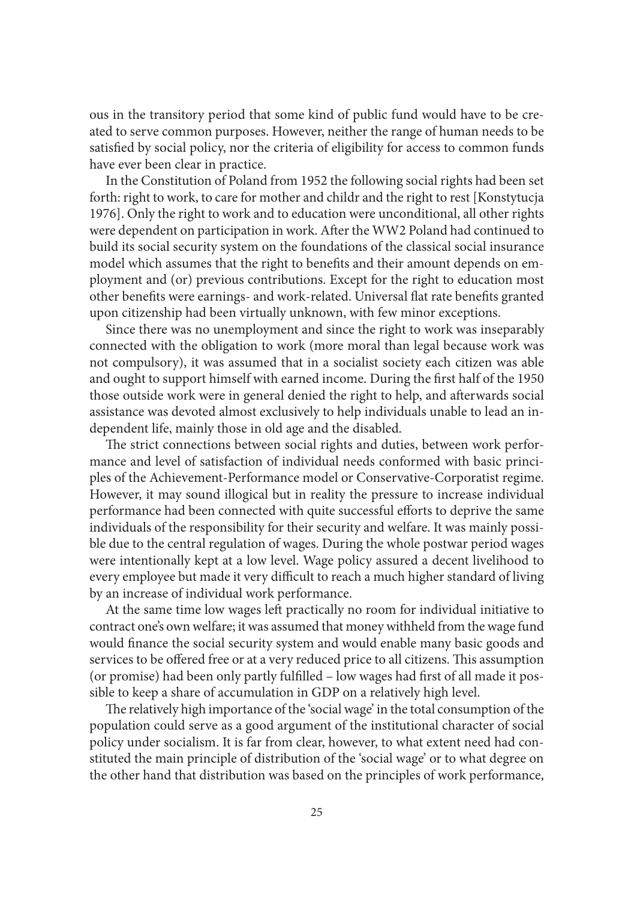ous in the transitory period that some kind of public fund would have to be created to serve common purposes. However, neither the range of human needs to be satisfied by social policy, nor the criteria of eligibility for access to common funds have ever been clear in practice.

In the Constitution of Poland from 1952 the following social rights had been set forth: right to work, to care for mother and childr and the right to rest [Konstytucja 1976]. Only the right to work and to education were unconditional, all other rights were dependent on participation in work. After the WW2 Poland had continued to build its social security system on the foundations of the classical social insurance model which assumes that the right to benefits and their amount depends on employment and (or) previous contributions. Except for the right to education most other benefits were earnings- and work-related. Universal flat rate benefits granted upon citizenship had been virtually unknown, with few minor exceptions.

Since there was no unemployment and since the right to work was inseparably connected with the obligation to work (more moral than legal because work was not compulsory), it was assumed that in a socialist society each citizen was able and ought to support himself with earned income. During the first half of the 1950 those outside work were in general denied the right to help, and afterwards social assistance was devoted almost exclusively to help individuals unable to lead an independent life, mainly those in old age and the disabled.

The strict connections between social rights and duties, between work performance and level of satisfaction of individual needs conformed with basic principles of the Achievement-Performance model or Conservative-Corporatist regime. However, it may sound illogical but in reality the pressure to increase individual performance had been connected with quite successful efforts to deprive the same individuals of the responsibility for their security and welfare. It was mainly possible due to the central regulation of wages. During the whole postwar period wages were intentionally kept at a low level. Wage policy assured a decent livelihood to every employee but made it very difficult to reach a much higher standard of living by an increase of individual work performance.

At the same time low wages left practically no room for individual initiative to contract one's own welfare; it was assumed that money withheld from the wage fund would finance the social security system and would enable many basic goods and services to be offered free or at a very reduced price to all citizens. This assumption (or promise) had been only partly fulfilled – low wages had first of all made it possible to keep a share of accumulation in GDP on a relatively high level.

The relatively high importance of the 'social wage' in the total consumption of the population could serve as a good argument of the institutional character of social policy under socialism. It is far from clear, however, to what extent need had constituted the main principle of distribution of the 'social wage' or to what degree on the other hand that distribution was based on the principles of work performance,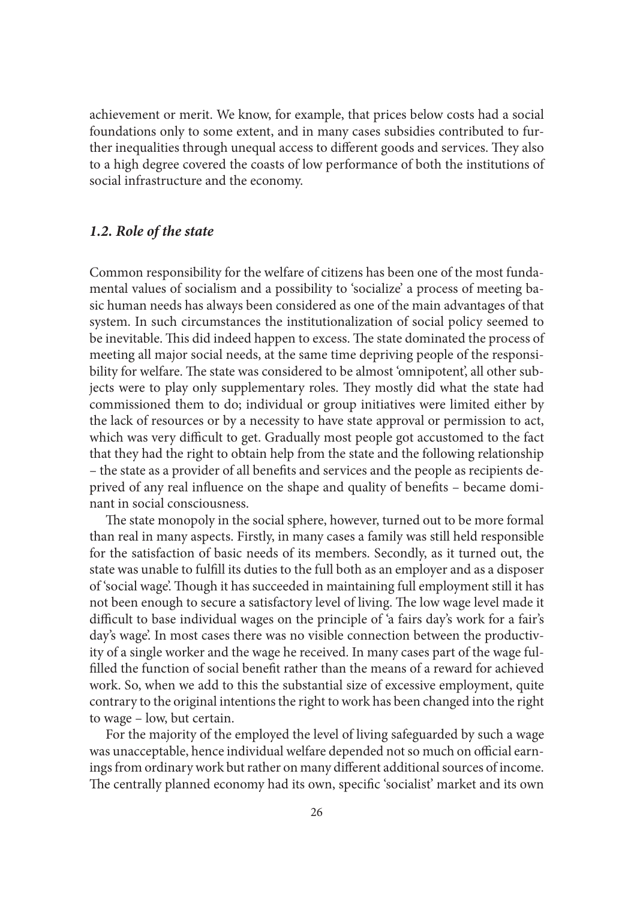achievement or merit. We know, for example, that prices below costs had a social foundations only to some extent, and in many cases subsidies contributed to further inequalities through unequal access to different goods and services. They also to a high degree covered the coasts of low performance of both the institutions of social infrastructure and the economy.

#### *1.2. Role of the state*

Common responsibility for the welfare of citizens has been one of the most fundamental values of socialism and a possibility to 'socialize' a process of meeting basic human needs has always been considered as one of the main advantages of that system. In such circumstances the institutionalization of social policy seemed to be inevitable. This did indeed happen to excess. The state dominated the process of meeting all major social needs, at the same time depriving people of the responsibility for welfare. The state was considered to be almost 'omnipotent', all other subjects were to play only supplementary roles. They mostly did what the state had commissioned them to do; individual or group initiatives were limited either by the lack of resources or by a necessity to have state approval or permission to act, which was very difficult to get. Gradually most people got accustomed to the fact that they had the right to obtain help from the state and the following relationship – the state as a provider of all benefits and services and the people as recipients deprived of any real influence on the shape and quality of benefits – became dominant in social consciousness.

The state monopoly in the social sphere, however, turned out to be more formal than real in many aspects. Firstly, in many cases a family was still held responsible for the satisfaction of basic needs of its members. Secondly, as it turned out, the state was unable to fulfill its duties to the full both as an employer and as a disposer of 'social wage'. Though it has succeeded in maintaining full employment still it has not been enough to secure a satisfactory level of living. The low wage level made it difficult to base individual wages on the principle of 'a fairs day's work for a fair's day's wage'. In most cases there was no visible connection between the productivity of a single worker and the wage he received. In many cases part of the wage fulfilled the function of social benefit rather than the means of a reward for achieved work. So, when we add to this the substantial size of excessive employment, quite contrary to the original intentions the right to work has been changed into the right to wage – low, but certain.

For the majority of the employed the level of living safeguarded by such a wage was unacceptable, hence individual welfare depended not so much on official earnings from ordinary work but rather on many different additional sources of income. The centrally planned economy had its own, specific 'socialist' market and its own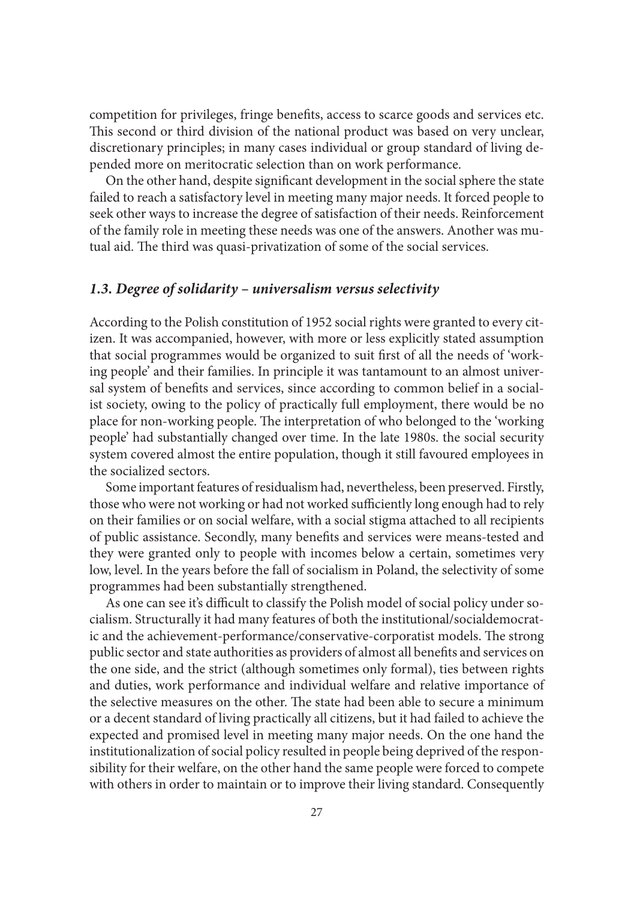competition for privileges, fringe benefits, access to scarce goods and services etc. This second or third division of the national product was based on very unclear, discretionary principles; in many cases individual or group standard of living depended more on meritocratic selection than on work performance.

On the other hand, despite significant development in the social sphere the state failed to reach a satisfactory level in meeting many major needs. It forced people to seek other ways to increase the degree of satisfaction of their needs. Reinforcement of the family role in meeting these needs was one of the answers. Another was mutual aid. The third was quasi-privatization of some of the social services.

#### *1.3. Degree of solidarity – universalism versus selectivity*

According to the Polish constitution of 1952 social rights were granted to every citizen. It was accompanied, however, with more or less explicitly stated assumption that social programmes would be organized to suit first of all the needs of 'working people' and their families. In principle it was tantamount to an almost universal system of benefits and services, since according to common belief in a socialist society, owing to the policy of practically full employment, there would be no place for non-working people. The interpretation of who belonged to the 'working people' had substantially changed over time. In the late 1980s. the social security system covered almost the entire population, though it still favoured employees in the socialized sectors.

Some important features of residualism had, nevertheless, been preserved. Firstly, those who were not working or had not worked sufficiently long enough had to rely on their families or on social welfare, with a social stigma attached to all recipients of public assistance. Secondly, many benefits and services were means-tested and they were granted only to people with incomes below a certain, sometimes very low, level. In the years before the fall of socialism in Poland, the selectivity of some programmes had been substantially strengthened.

As one can see it's difficult to classify the Polish model of social policy under socialism. Structurally it had many features of both the institutional/socialdemocratic and the achievement-performance/conservative-corporatist models. The strong public sector and state authorities as providers of almost all benefits and services on the one side, and the strict (although sometimes only formal), ties between rights and duties, work performance and individual welfare and relative importance of the selective measures on the other. The state had been able to secure a minimum or a decent standard of living practically all citizens, but it had failed to achieve the expected and promised level in meeting many major needs. On the one hand the institutionalization of social policy resulted in people being deprived of the responsibility for their welfare, on the other hand the same people were forced to compete with others in order to maintain or to improve their living standard. Consequently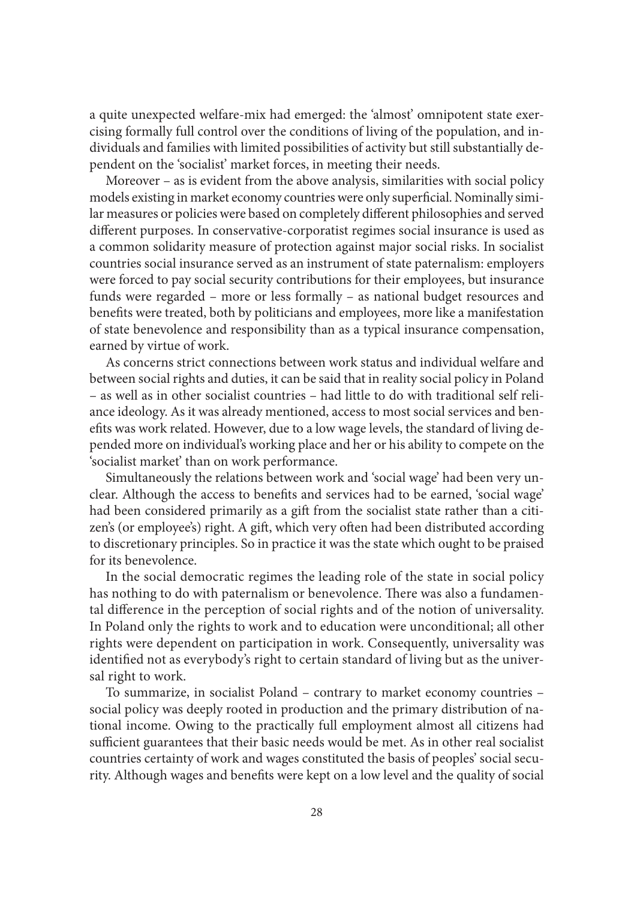a quite unexpected welfare-mix had emerged: the 'almost' omnipotent state exercising formally full control over the conditions of living of the population, and individuals and families with limited possibilities of activity but still substantially dependent on the 'socialist' market forces, in meeting their needs.

Moreover – as is evident from the above analysis, similarities with social policy models existing in market economy countries were only superficial. Nominally similar measures or policies were based on completely different philosophies and served different purposes. In conservative-corporatist regimes social insurance is used as a common solidarity measure of protection against major social risks. In socialist countries social insurance served as an instrument of state paternalism: employers were forced to pay social security contributions for their employees, but insurance funds were regarded – more or less formally – as national budget resources and benefits were treated, both by politicians and employees, more like a manifestation of state benevolence and responsibility than as a typical insurance compensation, earned by virtue of work.

As concerns strict connections between work status and individual welfare and between social rights and duties, it can be said that in reality social policy in Poland – as well as in other socialist countries – had little to do with traditional self reliance ideology. As it was already mentioned, access to most social services and benefits was work related. However, due to a low wage levels, the standard of living depended more on individual's working place and her or his ability to compete on the 'socialist market' than on work performance.

Simultaneously the relations between work and 'social wage' had been very unclear. Although the access to benefits and services had to be earned, 'social wage' had been considered primarily as a gift from the socialist state rather than a citizen's (or employee's) right. A gift, which very often had been distributed according to discretionary principles. So in practice it was the state which ought to be praised for its benevolence.

In the social democratic regimes the leading role of the state in social policy has nothing to do with paternalism or benevolence. There was also a fundamental difference in the perception of social rights and of the notion of universality. In Poland only the rights to work and to education were unconditional; all other rights were dependent on participation in work. Consequently, universality was identified not as everybody's right to certain standard of living but as the universal right to work.

To summarize, in socialist Poland – contrary to market economy countries – social policy was deeply rooted in production and the primary distribution of national income. Owing to the practically full employment almost all citizens had sufficient guarantees that their basic needs would be met. As in other real socialist countries certainty of work and wages constituted the basis of peoples' social security. Although wages and benefits were kept on a low level and the quality of social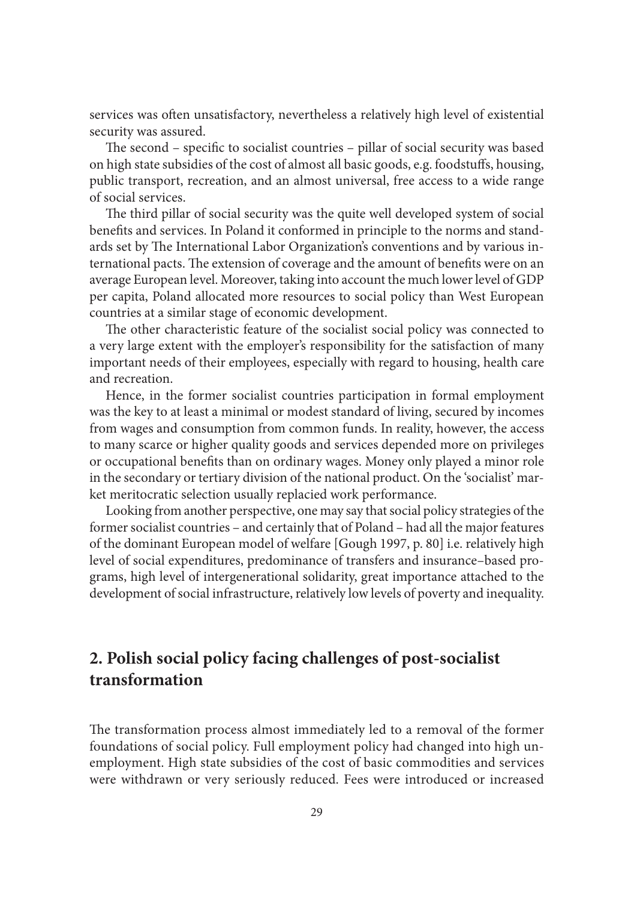services was often unsatisfactory, nevertheless a relatively high level of existential security was assured.

The second – specific to socialist countries – pillar of social security was based on high state subsidies of the cost of almost all basic goods, e.g. foodstuffs, housing, public transport, recreation, and an almost universal, free access to a wide range of social services.

The third pillar of social security was the quite well developed system of social benefits and services. In Poland it conformed in principle to the norms and standards set by The International Labor Organization's conventions and by various international pacts. The extension of coverage and the amount of benefits were on an average European level. Moreover, taking into account the much lower level of GDP per capita, Poland allocated more resources to social policy than West European countries at a similar stage of economic development.

The other characteristic feature of the socialist social policy was connected to a very large extent with the employer's responsibility for the satisfaction of many important needs of their employees, especially with regard to housing, health care and recreation.

Hence, in the former socialist countries participation in formal employment was the key to at least a minimal or modest standard of living, secured by incomes from wages and consumption from common funds. In reality, however, the access to many scarce or higher quality goods and services depended more on privileges or occupational benefits than on ordinary wages. Money only played a minor role in the secondary or tertiary division of the national product. On the 'socialist' market meritocratic selection usually replacied work performance.

Looking from another perspective, one may say that social policy strategies of the former socialist countries – and certainly that of Poland – had all the major features of the dominant European model of welfare [Gough 1997, p. 80] i.e. relatively high level of social expenditures, predominance of transfers and insurance–based programs, high level of intergenerational solidarity, great importance attached to the development of social infrastructure, relatively low levels of poverty and inequality.

# **2. Polish social policy facing challenges of post-socialist transformation**

The transformation process almost immediately led to a removal of the former foundations of social policy. Full employment policy had changed into high unemployment. High state subsidies of the cost of basic commodities and services were withdrawn or very seriously reduced. Fees were introduced or increased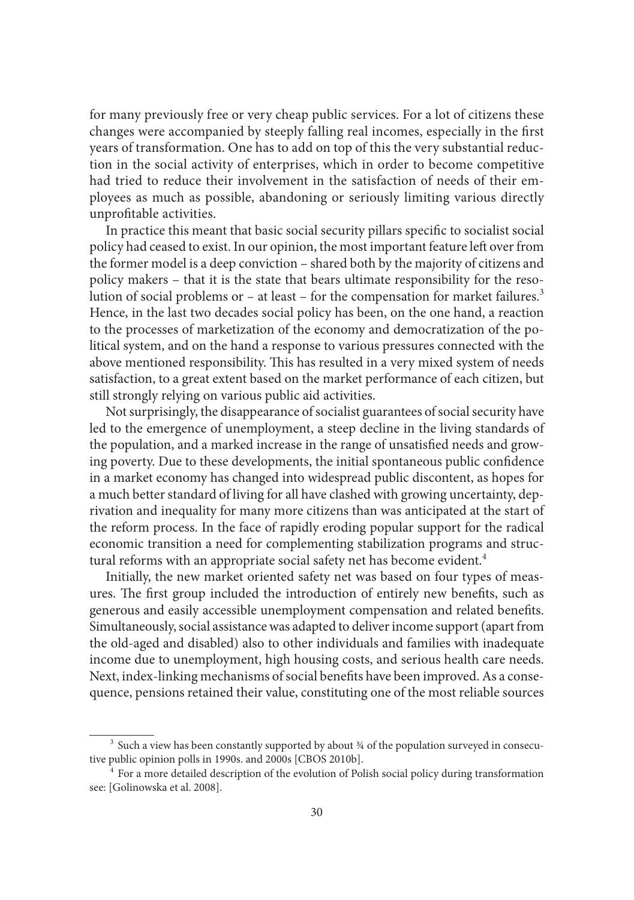for many previously free or very cheap public services. For a lot of citizens these changes were accompanied by steeply falling real incomes, especially in the first years of transformation. One has to add on top of this the very substantial reduction in the social activity of enterprises, which in order to become competitive had tried to reduce their involvement in the satisfaction of needs of their employees as much as possible, abandoning or seriously limiting various directly unprofitable activities.

In practice this meant that basic social security pillars specific to socialist social policy had ceased to exist. In our opinion, the most important feature left over from the former model is a deep conviction – shared both by the majority of citizens and policy makers – that it is the state that bears ultimate responsibility for the resolution of social problems or – at least – for the compensation for market failures.<sup>3</sup> Hence, in the last two decades social policy has been, on the one hand, a reaction to the processes of marketization of the economy and democratization of the political system, and on the hand a response to various pressures connected with the above mentioned responsibility. This has resulted in a very mixed system of needs satisfaction, to a great extent based on the market performance of each citizen, but still strongly relying on various public aid activities.

Not surprisingly, the disappearance of socialist guarantees of social security have led to the emergence of unemployment, a steep decline in the living standards of the population, and a marked increase in the range of unsatisfied needs and growing poverty. Due to these developments, the initial spontaneous public confidence in a market economy has changed into widespread public discontent, as hopes for a much better standard of living for all have clashed with growing uncertainty, deprivation and inequality for many more citizens than was anticipated at the start of the reform process. In the face of rapidly eroding popular support for the radical economic transition a need for complementing stabilization programs and structural reforms with an appropriate social safety net has become evident.<sup>4</sup>

Initially, the new market oriented safety net was based on four types of measures. The first group included the introduction of entirely new benefits, such as generous and easily accessible unemployment compensation and related benefits. Simultaneously, social assistance was adapted to deliver income support (apart from the old-aged and disabled) also to other individuals and families with inadequate income due to unemployment, high housing costs, and serious health care needs. Next, index-linking mechanisms of social benefits have been improved. As a consequence, pensions retained their value, constituting one of the most reliable sources

<sup>&</sup>lt;sup>3</sup> Such a view has been constantly supported by about  $\frac{3}{4}$  of the population surveyed in consecutive public opinion polls in 1990s. and 2000s [CBOS 2010b].<br><sup>4</sup> For a more detailed description of the evolution of Polish social policy during transformation

see: [Golinowska et al. 2008].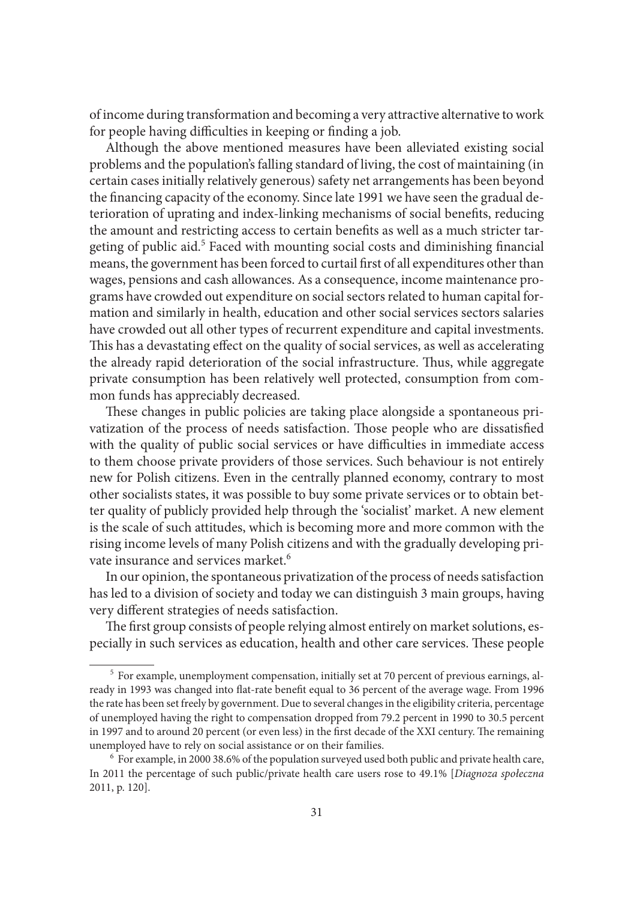of income during transformation and becoming a very attractive alternative to work for people having difficulties in keeping or finding a job.

Although the above mentioned measures have been alleviated existing social problems and the population's falling standard of living, the cost of maintaining (in certain cases initially relatively generous) safety net arrangements has been beyond the financing capacity of the economy. Since late 1991 we have seen the gradual deterioration of uprating and index-linking mechanisms of social benefits, reducing the amount and restricting access to certain benefits as well as a much stricter targeting of public aid.<sup>5</sup> Faced with mounting social costs and diminishing financial means, the government has been forced to curtail first of all expenditures other than wages, pensions and cash allowances. As a consequence, income maintenance programs have crowded out expenditure on social sectors related to human capital formation and similarly in health, education and other social services sectors salaries have crowded out all other types of recurrent expenditure and capital investments. This has a devastating effect on the quality of social services, as well as accelerating the already rapid deterioration of the social infrastructure. Thus, while aggregate private consumption has been relatively well protected, consumption from common funds has appreciably decreased.

These changes in public policies are taking place alongside a spontaneous privatization of the process of needs satisfaction. Those people who are dissatisfied with the quality of public social services or have difficulties in immediate access to them choose private providers of those services. Such behaviour is not entirely new for Polish citizens. Even in the centrally planned economy, contrary to most other socialists states, it was possible to buy some private services or to obtain better quality of publicly provided help through the 'socialist' market. A new element is the scale of such attitudes, which is becoming more and more common with the rising income levels of many Polish citizens and with the gradually developing private insurance and services market.<sup>6</sup>

In our opinion, the spontaneous privatization of the process of needs satisfaction has led to a division of society and today we can distinguish 3 main groups, having very different strategies of needs satisfaction.

The first group consists of people relying almost entirely on market solutions, especially in such services as education, health and other care services. These people

<sup>&</sup>lt;sup>5</sup> For example, unemployment compensation, initially set at 70 percent of previous earnings, already in 1993 was changed into flat-rate benefit equal to 36 percent of the average wage. From 1996 the rate has been set freely by government. Due to several changes in the eligibility criteria, percentage of unemployed having the right to compensation dropped from 79.2 percent in 1990 to 30.5 percent in 1997 and to around 20 percent (or even less) in the first decade of the XXI century. The remaining unemployed have to rely on social assistance or on their families. 6 For example, in 2000 38.6% of the population surveyed used both public and private health care,

In 2011 the percentage of such public/private health care users rose to 49.1% [*Diagnoza społeczna*  2011, p. 120].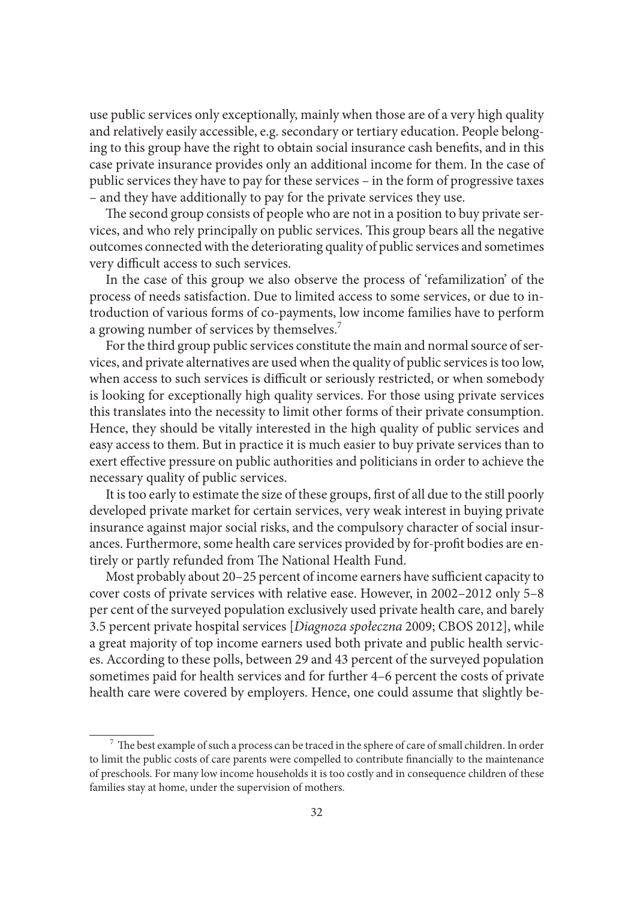use public services only exceptionally, mainly when those are of a very high quality and relatively easily accessible, e.g. secondary or tertiary education. People belonging to this group have the right to obtain social insurance cash benefits, and in this case private insurance provides only an additional income for them. In the case of public services they have to pay for these services – in the form of progressive taxes – and they have additionally to pay for the private services they use.

The second group consists of people who are not in a position to buy private services, and who rely principally on public services. This group bears all the negative outcomes connected with the deteriorating quality of public services and sometimes very difficult access to such services.

In the case of this group we also observe the process of 'refamilization' of the process of needs satisfaction. Due to limited access to some services, or due to introduction of various forms of co-payments, low income families have to perform a growing number of services by themselves.<sup>7</sup>

For the third group public services constitute the main and normal source of services, and private alternatives are used when the quality of public services is too low, when access to such services is difficult or seriously restricted, or when somebody is looking for exceptionally high quality services. For those using private services this translates into the necessity to limit other forms of their private consumption. Hence, they should be vitally interested in the high quality of public services and easy access to them. But in practice it is much easier to buy private services than to exert effective pressure on public authorities and politicians in order to achieve the necessary quality of public services.

It is too early to estimate the size of these groups, first of all due to the still poorly developed private market for certain services, very weak interest in buying private insurance against major social risks, and the compulsory character of social insurances. Furthermore, some health care services provided by for-profi t bodies are entirely or partly refunded from The National Health Fund.

Most probably about 20–25 percent of income earners have sufficient capacity to cover costs of private services with relative ease. However, in 2002–2012 only 5–8 per cent of the surveyed population exclusively used private health care, and barely 3.5 percent private hospital services [*Diagnoza społeczna* 2009; CBOS 2012], while a great majority of top income earners used both private and public health services. According to these polls, between 29 and 43 percent of the surveyed population sometimes paid for health services and for further 4–6 percent the costs of private health care were covered by employers. Hence, one could assume that slightly be-

 $^7$  The best example of such a process can be traced in the sphere of care of small children. In order to limit the public costs of care parents were compelled to contribute financially to the maintenance of preschools. For many low income households it is too costly and in consequence children of these families stay at home, under the supervision of mothers.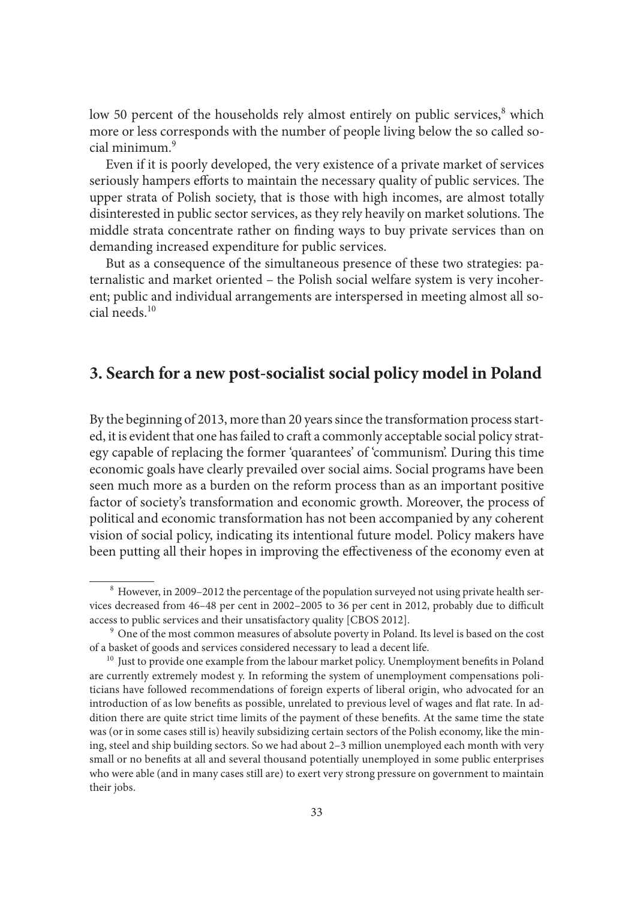low 50 percent of the households rely almost entirely on public services,<sup>8</sup> which more or less corresponds with the number of people living below the so called social minimum.<sup>9</sup>

Even if it is poorly developed, the very existence of a private market of services seriously hampers efforts to maintain the necessary quality of public services. The upper strata of Polish society, that is those with high incomes, are almost totally disinterested in public sector services, as they rely heavily on market solutions. The middle strata concentrate rather on finding ways to buy private services than on demanding increased expenditure for public services.

But as a consequence of the simultaneous presence of these two strategies: paternalistic and market oriented – the Polish social welfare system is very incoherent; public and individual arrangements are interspersed in meeting almost all social needs.<sup>10</sup>

## **3. Search for a new post-socialist social policy model in Poland**

By the beginning of 2013, more than 20 years since the transformation process started, it is evident that one has failed to craft a commonly acceptable social policy strategy capable of replacing the former 'quarantees' of 'communism'. During this time economic goals have clearly prevailed over social aims. Social programs have been seen much more as a burden on the reform process than as an important positive factor of society's transformation and economic growth. Moreover, the process of political and economic transformation has not been accompanied by any coherent vision of social policy, indicating its intentional future model. Policy makers have been putting all their hopes in improving the effectiveness of the economy even at

<sup>&</sup>lt;sup>8</sup> However, in 2009–2012 the percentage of the population surveyed not using private health services decreased from 46–48 per cent in 2002–2005 to 36 per cent in 2012, probably due to difficult access to public services and their unsatisfactory quality [CBOS 2012].

<sup>&</sup>lt;sup>9</sup> One of the most common measures of absolute poverty in Poland. Its level is based on the cost of a basket of goods and services considered necessary to lead a decent life.<br><sup>10</sup> Just to provide one example from the labour market policy. Unemployment benefits in Poland

are currently extremely modest y. In reforming the system of unemployment compensations politicians have followed recommendations of foreign experts of liberal origin, who advocated for an introduction of as low benefits as possible, unrelated to previous level of wages and flat rate. In addition there are quite strict time limits of the payment of these benefits. At the same time the state was (or in some cases still is) heavily subsidizing certain sectors of the Polish economy, like the mining, steel and ship building sectors. So we had about 2–3 million unemployed each month with very small or no benefits at all and several thousand potentially unemployed in some public enterprises who were able (and in many cases still are) to exert very strong pressure on government to maintain their jobs.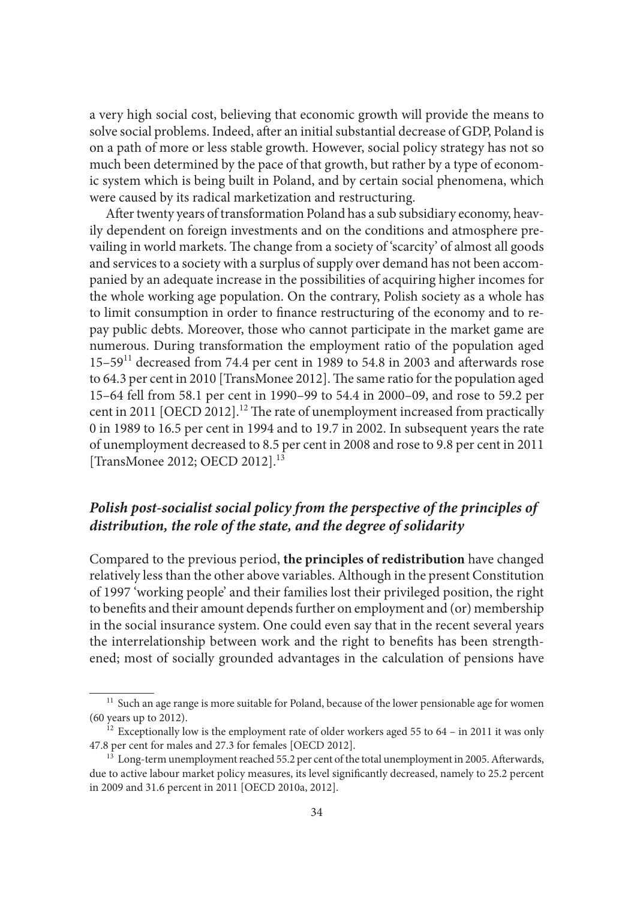a very high social cost, believing that economic growth will provide the means to solve social problems. Indeed, after an initial substantial decrease of GDP, Poland is on a path of more or less stable growth. However, social policy strategy has not so much been determined by the pace of that growth, but rather by a type of economic system which is being built in Poland, and by certain social phenomena, which were caused by its radical marketization and restructuring.

After twenty years of transformation Poland has a sub subsidiary economy, heavily dependent on foreign investments and on the conditions and atmosphere prevailing in world markets. The change from a society of 'scarcity' of almost all goods and services to a society with a surplus of supply over demand has not been accompanied by an adequate increase in the possibilities of acquiring higher incomes for the whole working age population. On the contrary, Polish society as a whole has to limit consumption in order to finance restructuring of the economy and to repay public debts. Moreover, those who cannot participate in the market game are numerous. During transformation the employment ratio of the population aged  $15-59$ <sup>11</sup> decreased from 74.4 per cent in 1989 to 54.8 in 2003 and afterwards rose to 64.3 per cent in 2010 [TransMonee 2012]. The same ratio for the population aged 15–64 fell from 58.1 per cent in 1990–99 to 54.4 in 2000–09, and rose to 59.2 per cent in 2011 [OECD 2012].<sup>12</sup> The rate of unemployment increased from practically 0 in 1989 to 16.5 per cent in 1994 and to 19.7 in 2002. In subsequent years the rate of unemployment decreased to 8.5 per cent in 2008 and rose to 9.8 per cent in 2011 [TransMonee 2012; OECD 2012].<sup>13</sup>

# *Polish post-socialist social policy from the perspective of the principles of distribution, the role of the state, and the degree of solidarity*

Compared to the previous period, **the principles of redistribution** have changed relatively less than the other above variables. Although in the present Constitution of 1997 'working people' and their families lost their privileged position, the right to benefits and their amount depends further on employment and (or) membership in the social insurance system. One could even say that in the recent several years the interrelationship between work and the right to benefits has been strengthened; most of socially grounded advantages in the calculation of pensions have

 $^{\rm 11}$  Such an age range is more suitable for Poland, because of the lower pensionable age for women (60 years up to 2012).<br><sup>12</sup> Exceptionally low is the employment rate of older workers aged 55 to 64 – in 2011 it was only

<sup>47.8</sup> per cent for males and 27.3 for females [OECD 2012].<br><sup>13</sup> Long-term unemployment reached 55.2 per cent of the total unemployment in 2005. Afterwards,

due to active labour market policy measures, its level significantly decreased, namely to 25.2 percent in 2009 and 31.6 percent in 2011 [OECD 2010a, 2012].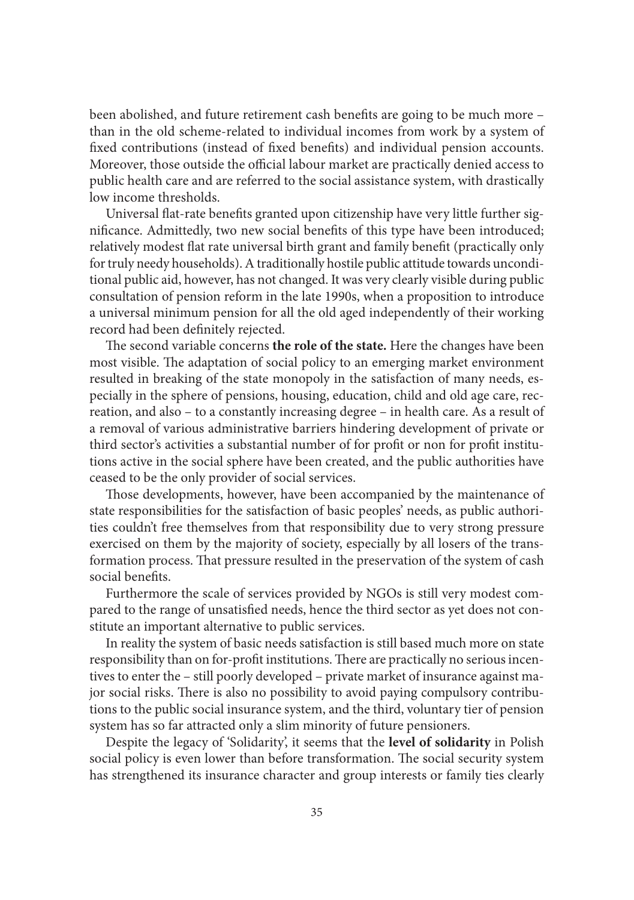been abolished, and future retirement cash benefits are going to be much more – than in the old scheme-related to individual incomes from work by a system of fixed contributions (instead of fixed benefits) and individual pension accounts. Moreover, those outside the official labour market are practically denied access to public health care and are referred to the social assistance system, with drastically low income thresholds.

Universal flat-rate benefits granted upon citizenship have very little further significance. Admittedly, two new social benefits of this type have been introduced; relatively modest flat rate universal birth grant and family benefit (practically only for truly needy households). A traditionally hostile public attitude towards unconditional public aid, however, has not changed. It was very clearly visible during public consultation of pension reform in the late 1990s, when a proposition to introduce a universal minimum pension for all the old aged independently of their working record had been definitely rejected.

The second variable concerns the role of the state. Here the changes have been most visible. The adaptation of social policy to an emerging market environment resulted in breaking of the state monopoly in the satisfaction of many needs, especially in the sphere of pensions, housing, education, child and old age care, recreation, and also – to a constantly increasing degree – in health care. As a result of a removal of various administrative barriers hindering development of private or third sector's activities a substantial number of for profit or non for profit institutions active in the social sphere have been created, and the public authorities have ceased to be the only provider of social services.

Those developments, however, have been accompanied by the maintenance of state responsibilities for the satisfaction of basic peoples' needs, as public authorities couldn't free themselves from that responsibility due to very strong pressure exercised on them by the majority of society, especially by all losers of the transformation process. That pressure resulted in the preservation of the system of cash social benefits

Furthermore the scale of services provided by NGOs is still very modest compared to the range of unsatisfied needs, hence the third sector as yet does not constitute an important alternative to public services.

In reality the system of basic needs satisfaction is still based much more on state responsibility than on for-profit institutions. There are practically no serious incentives to enter the – still poorly developed – private market of insurance against major social risks. There is also no possibility to avoid paying compulsory contributions to the public social insurance system, and the third, voluntary tier of pension system has so far attracted only a slim minority of future pensioners.

Despite the legacy of 'Solidarity', it seems that the **level of solidarity** in Polish social policy is even lower than before transformation. The social security system has strengthened its insurance character and group interests or family ties clearly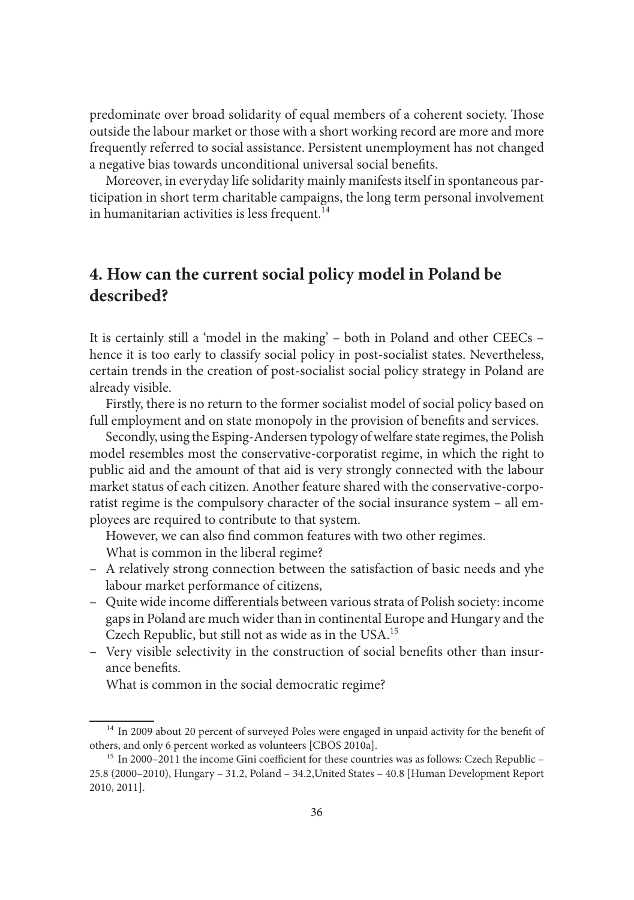predominate over broad solidarity of equal members of a coherent society. Those outside the labour market or those with a short working record are more and more frequently referred to social assistance. Persistent unemployment has not changed a negative bias towards unconditional universal social benefits.

Moreover, in everyday life solidarity mainly manifests itself in spontaneous participation in short term charitable campaigns, the long term personal involvement in humanitarian activities is less frequent. $^{14}$ 

# **4. How can the current social policy model in Poland be described?**

It is certainly still a 'model in the making' – both in Poland and other CEECs – hence it is too early to classify social policy in post-socialist states. Nevertheless, certain trends in the creation of post-socialist social policy strategy in Poland are already visible.

Firstly, there is no return to the former socialist model of social policy based on full employment and on state monopoly in the provision of benefits and services.

Secondly, using the Esping-Andersen typology of welfare state regimes, the Polish model resembles most the conservative-corporatist regime, in which the right to public aid and the amount of that aid is very strongly connected with the labour market status of each citizen. Another feature shared with the conservative-corporatist regime is the compulsory character of the social insurance system – all employees are required to contribute to that system.

However, we can also find common features with two other regimes. What is common in the liberal regime?

- A relatively strong connection between the satisfaction of basic needs and yhe labour market performance of citizens,
- Quite wide income differentials between various strata of Polish society: income gaps in Poland are much wider than in continental Europe and Hungary and the Czech Republic, but still not as wide as in the USA.<sup>15</sup>
- Very visible selectivity in the construction of social benefits other than insurance benefits.
	- What is common in the social democratic regime?

<sup>&</sup>lt;sup>14</sup> In 2009 about 20 percent of surveyed Poles were engaged in unpaid activity for the benefit of others, and only 6 percent worked as volunteers [CBOS 2010a].<br><sup>15</sup> In 2000–2011 the income Gini coefficient for these countries was as follows: Czech Republic –

<sup>25.8 (2000–2010),</sup> Hungary – 31.2, Poland – 34.2,United States – 40.8 [Human Development Report 2010, 2011].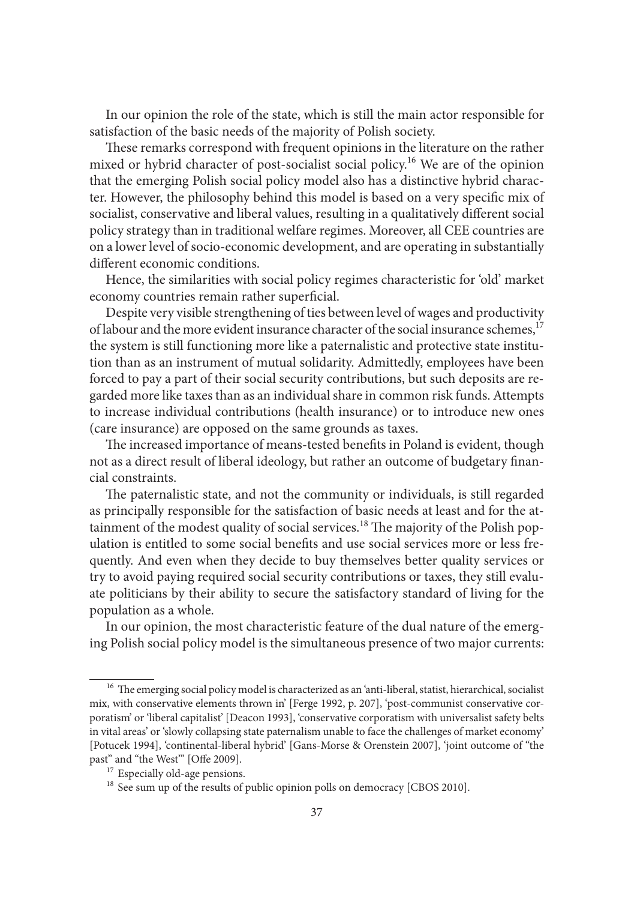In our opinion the role of the state, which is still the main actor responsible for satisfaction of the basic needs of the majority of Polish society.

These remarks correspond with frequent opinions in the literature on the rather mixed or hybrid character of post-socialist social policy.<sup>16</sup> We are of the opinion that the emerging Polish social policy model also has a distinctive hybrid character. However, the philosophy behind this model is based on a very specific mix of socialist, conservative and liberal values, resulting in a qualitatively different social policy strategy than in traditional welfare regimes. Moreover, all CEE countries are on a lower level of socio-economic development, and are operating in substantially different economic conditions.

Hence, the similarities with social policy regimes characteristic for 'old' market economy countries remain rather superficial.

Despite very visible strengthening of ties between level of wages and productivity of labour and the more evident insurance character of the social insurance schemes,<sup>17</sup> the system is still functioning more like a paternalistic and protective state institution than as an instrument of mutual solidarity. Admittedly, employees have been forced to pay a part of their social security contributions, but such deposits are regarded more like taxes than as an individual share in common risk funds. Attempts to increase individual contributions (health insurance) or to introduce new ones (care insurance) are opposed on the same grounds as taxes.

The increased importance of means-tested benefits in Poland is evident, though not as a direct result of liberal ideology, but rather an outcome of budgetary financial constraints.

The paternalistic state, and not the community or individuals, is still regarded as principally responsible for the satisfaction of basic needs at least and for the attainment of the modest quality of social services.<sup>18</sup> The majority of the Polish population is entitled to some social benefits and use social services more or less frequently. And even when they decide to buy themselves better quality services or try to avoid paying required social security contributions or taxes, they still evaluate politicians by their ability to secure the satisfactory standard of living for the population as a whole.

In our opinion, the most characteristic feature of the dual nature of the emerging Polish social policy model is the simultaneous presence of two major currents:

<sup>&</sup>lt;sup>16</sup> The emerging social policy model is characterized as an 'anti-liberal, statist, hierarchical, socialist mix, with conservative elements thrown in' [Ferge 1992, p. 207], 'post-communist conservative corporatism' or 'liberal capitalist' [Deacon 1993], 'conservative corporatism with universalist safety belts in vital areas' or 'slowly collapsing state paternalism unable to face the challenges of market economy' [Potucek 1994], 'continental-liberal hybrid' [Gans-Morse & Orenstein 2007], 'joint outcome of "the past" and "the West"' [Offe 2009].<br>
<sup>17</sup> Especially old-age pensions.<br>
<sup>18</sup> See sum up of the results of public opinion polls on democracy [CBOS 2010].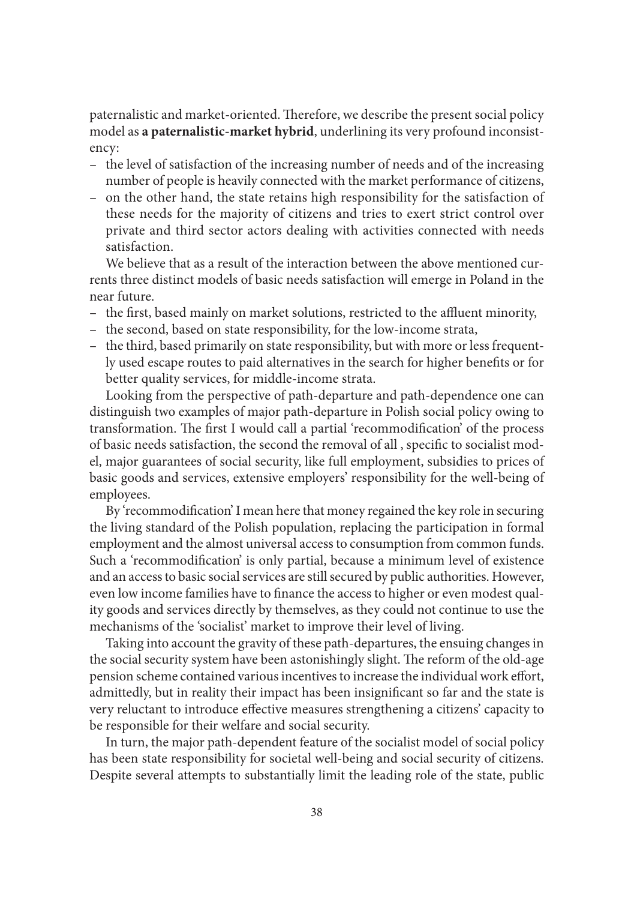paternalistic and market-oriented. Therefore, we describe the present social policy model as **a paternalistic-market hybrid**, underlining its very profound inconsistency:

- the level of satisfaction of the increasing number of needs and of the increasing number of people is heavily connected with the market performance of citizens,
- on the other hand, the state retains high responsibility for the satisfaction of these needs for the majority of citizens and tries to exert strict control over private and third sector actors dealing with activities connected with needs satisfaction.

We believe that as a result of the interaction between the above mentioned currents three distinct models of basic needs satisfaction will emerge in Poland in the near future.

- the first, based mainly on market solutions, restricted to the affluent minority,
- the second, based on state responsibility, for the low-income strata,
- the third, based primarily on state responsibility, but with more or less frequently used escape routes to paid alternatives in the search for higher benefits or for better quality services, for middle-income strata.

Looking from the perspective of path-departure and path-dependence one can distinguish two examples of major path-departure in Polish social policy owing to transformation. The first I would call a partial 'recommodification' of the process of basic needs satisfaction, the second the removal of all, specific to socialist model, major guarantees of social security, like full employment, subsidies to prices of basic goods and services, extensive employers' responsibility for the well-being of employees.

By 'recommodification' I mean here that money regained the key role in securing the living standard of the Polish population, replacing the participation in formal employment and the almost universal access to consumption from common funds. Such a 'recommodification' is only partial, because a minimum level of existence and an access to basic social services are still secured by public authorities. However, even low income families have to finance the access to higher or even modest quality goods and services directly by themselves, as they could not continue to use the mechanisms of the 'socialist' market to improve their level of living.

Taking into account the gravity of these path-departures, the ensuing changes in the social security system have been astonishingly slight. The reform of the old-age pension scheme contained various incentives to increase the individual work effort, admittedly, but in reality their impact has been insignificant so far and the state is very reluctant to introduce effective measures strengthening a citizens' capacity to be responsible for their welfare and social security.

In turn, the major path-dependent feature of the socialist model of social policy has been state responsibility for societal well-being and social security of citizens. Despite several attempts to substantially limit the leading role of the state, public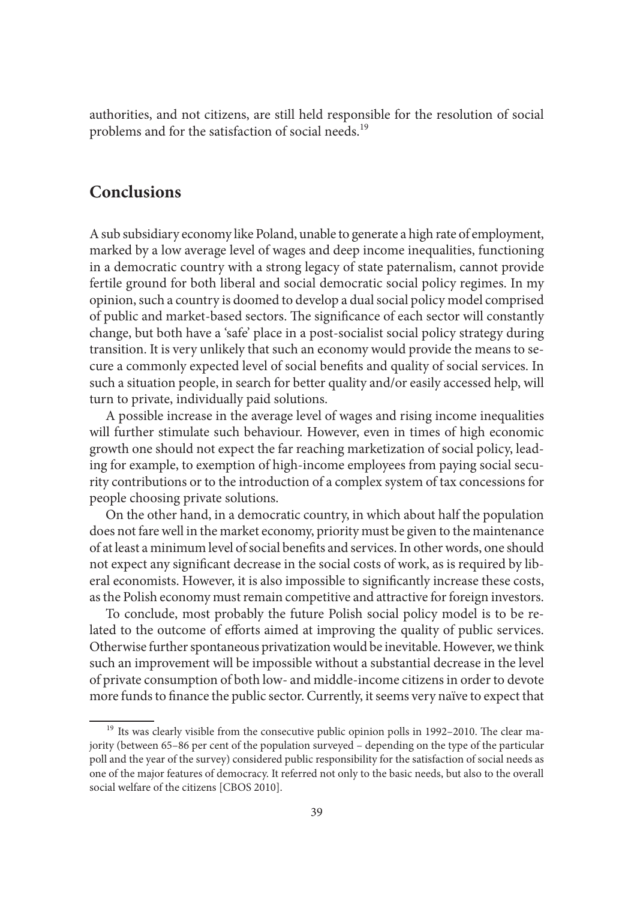authorities, and not citizens, are still held responsible for the resolution of social problems and for the satisfaction of social needs.<sup>19</sup>

## **Conclusions**

A sub subsidiary economy like Poland, unable to generate a high rate of employment, marked by a low average level of wages and deep income inequalities, functioning in a democratic country with a strong legacy of state paternalism, cannot provide fertile ground for both liberal and social democratic social policy regimes. In my opinion, such a country is doomed to develop a dual social policy model comprised of public and market-based sectors. The significance of each sector will constantly change, but both have a 'safe' place in a post-socialist social policy strategy during transition. It is very unlikely that such an economy would provide the means to secure a commonly expected level of social benefits and quality of social services. In such a situation people, in search for better quality and/or easily accessed help, will turn to private, individually paid solutions.

A possible increase in the average level of wages and rising income inequalities will further stimulate such behaviour. However, even in times of high economic growth one should not expect the far reaching marketization of social policy, leading for example, to exemption of high-income employees from paying social security contributions or to the introduction of a complex system of tax concessions for people choosing private solutions.

On the other hand, in a democratic country, in which about half the population does not fare well in the market economy, priority must be given to the maintenance of at least a minimum level of social benefits and services. In other words, one should not expect any significant decrease in the social costs of work, as is required by liberal economists. However, it is also impossible to significantly increase these costs, as the Polish economy must remain competitive and attractive for foreign investors.

To conclude, most probably the future Polish social policy model is to be related to the outcome of efforts aimed at improving the quality of public services. Otherwise further spontaneous privatization would be inevitable. However, we think such an improvement will be impossible without a substantial decrease in the level of private consumption of both low- and middle-income citizens in order to devote more funds to finance the public sector. Currently, it seems very naïve to expect that

 $19$  Its was clearly visible from the consecutive public opinion polls in 1992–2010. The clear majority (between 65–86 per cent of the population surveyed – depending on the type of the particular poll and the year of the survey) considered public responsibility for the satisfaction of social needs as one of the major features of democracy. It referred not only to the basic needs, but also to the overall social welfare of the citizens [CBOS 2010].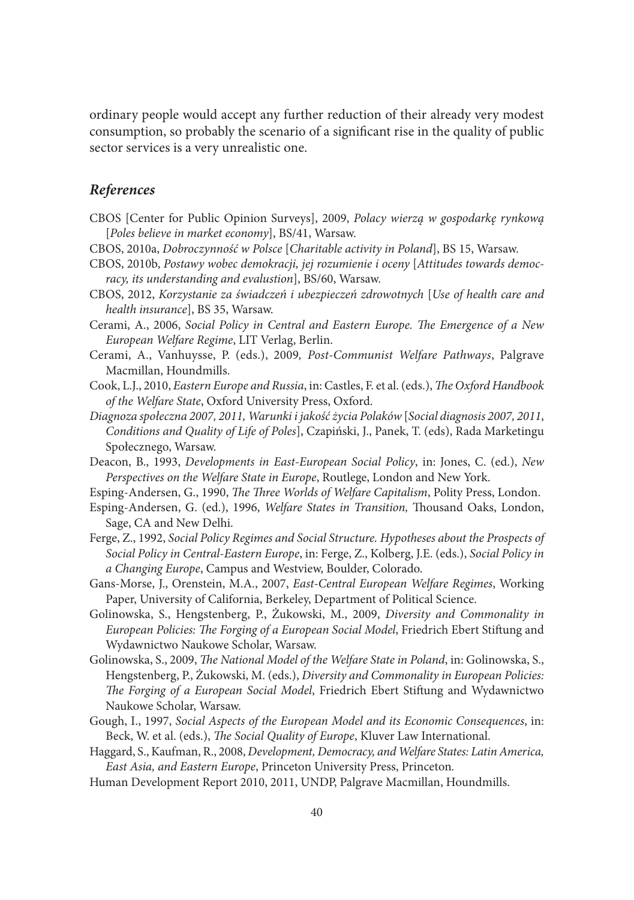ordinary people would accept any further reduction of their already very modest consumption, so probably the scenario of a significant rise in the quality of public sector services is a very unrealistic one.

## *References*

- CBOS [Center for Public Opinion Surveys], 2009, *Polacy wierzą w gospodarkę rynkową*  [*Poles believe in market economy*], BS/41, Warsaw.
- CBOS, 2010a, *Dobroczynność w Polsce* [*Charitable activity in Poland*], BS 15, Warsaw.
- CBOS, 2010b, *Postawy wobec demokracji, jej rozumienie i oceny* [*Attitudes towards democracy, its understanding and evalustion*], BS/60, Warsaw.
- CBOS, 2012, *Korzystanie za świadczeń i ubezpieczeń zdrowotnych* [*Use of health care and health insurance*], BS 35, Warsaw.
- Cerami, A., 2006, *Social Policy in Central and Eastern Europe*. The Emergence of a New *European Welfare Regime*, LIT Verlag, Berlin.
- Cerami, A., Vanhuysse, P. (eds.), 2009*, Post-Communist Welfare Pathways*, Palgrave Macmillan, Houndmills.
- Cook, L.J., 2010, *Eastern Europe and Russia*, in: Castles, F. et al. (eds.), *The Oxford Handbook of the Welfare State*, Oxford University Press, Oxford.
- *Diagnoza społeczna 2007, 2011, Warunki i jakość życia Polaków* [*Social diagnosis 2007, 2011*, *Conditions and Quality of Life of Poles*], Czapiński, J., Panek, T. (eds), Rada Marketingu Społecznego, Warsaw.
- Deacon, B., 1993, *Developments in East-European Social Policy*, in: Jones, C. (ed.), *New Perspectives on the Welfare State in Europe*, Routlege, London and New York.
- Esping-Andersen, G., 1990, *The Three Worlds of Welfare Capitalism*, Polity Press, London.
- Esping-Andersen, G. (ed.), 1996, *Welfare States in Transition*, Thousand Oaks, London, Sage, CA and New Delhi.
- Ferge, Z., 1992, *Social Policy Regimes and Social Structure. Hypotheses about the Prospects of Social Policy in Central-Eastern Europe*, in: Ferge, Z., Kolberg, J.E. (eds.), *Social Policy in a Changing Europe*, Campus and Westview, Boulder, Colorado.
- Gans-Morse, J., Orenstein, M.A., 2007, *East-Central European Welfare Regimes*, Working Paper, University of California, Berkeley, Department of Political Science.
- Golinowska, S., Hengstenberg, P., Żukowski, M., 2009, *Diversity and Commonality in*  European Policies: The Forging of a European Social Model, Friedrich Ebert Stiftung and Wydawnictwo Naukowe Scholar, Warsaw.
- Golinowska, S., 2009, *The National Model of the Welfare State in Poland*, in: Golinowska, S., Hengstenberg, P., Żukowski, M. (eds.), *Diversity and Commonality in European Policies:*  The Forging of a European Social Model, Friedrich Ebert Stiftung and Wydawnictwo Naukowe Scholar, Warsaw.
- Gough, I., 1997, *Social Aspects of the European Model and its Economic Consequences*, in: Beck, W. et al. (eds.), *The Social Quality of Europe*, Kluver Law International.
- Haggard, S., Kaufman, R., 2008, *Development, Democracy, and Welfare States: Latin America, East Asia, and Eastern Europe*, Princeton University Press, Princeton*.*
- Human Development Report 2010, 2011, UNDP, Palgrave Macmillan, Houndmills.